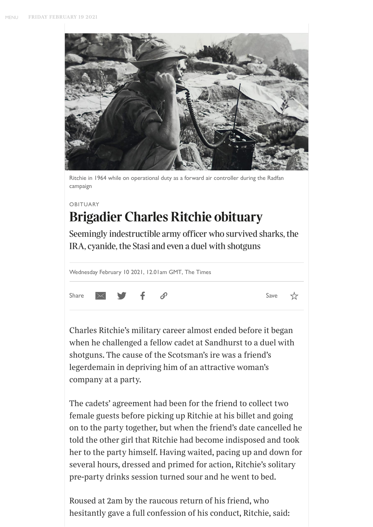<span id="page-0-0"></span>

Ritchie in 1964 while on operational duty as a forward air controller during the Radfan campaign

### OBITUARY

## **Brigadier Charles Ritchie obituary**

Seemingly indestructible army officer who survived sharks, the IRA, cyanide, the Stasi and even a duel with shotguns

|  | Wednesday February 10 2021, 12.01am GMT, The Times |  |  |  |  |
|--|----------------------------------------------------|--|--|--|--|
|--|----------------------------------------------------|--|--|--|--|



☆

*Charles Ritchie's military career almost ended before it began when he challenged a fellow cadet at Sandhurst to a duel with shotguns. The cause of the Scotsman's ire was a friend's legerdemain in depriving him of an attractive woman's company at a party.*

*The cadets' agreement had been for the friend to collect two female guests before picking up Ritchie at his billet and going on to the party together, but when the friend's date cancelled he told the other girl that Ritchie had become indisposed and took her to the party himself. Having waited, pacing up and down for several hours, dressed and primed for action, Ritchie's solitary pre-party drinks session turned sour and he went to bed.*

*Roused at 2am by the raucous return of his friend, who hesitantly gave a full confession of his conduct, Ritchie, said:*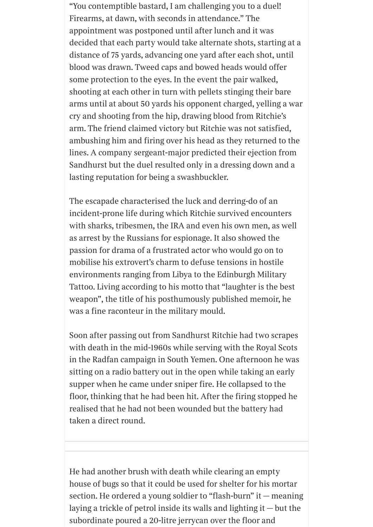*"You contemptible bastard, I am challenging you to a duel! Firearms, at dawn, with seconds in attendance." The appointment was postponed until after lunch and it was decided that each party would take alternate shots, starting at a distance of 75 yards, advancing one yard after each shot, until blood was drawn. Tweed caps and bowed heads would oer some protection to the eyes. In the event the pair walked, shooting at each other in turn with pellets stinging their bare arms until at about 50 yards his opponent charged, yelling a war cry and shooting from the hip, drawing blood from Ritchie's arm. The friend claimed victory but Ritchie was not satisfied, ambushing him and firing over his head as they returned to the lines. A company sergeant-major predicted their ejection from Sandhurst but the duel resulted only in a dressing down and a lasting reputation for being a swashbuckler.*

*The escapade characterised the luck and derring-do of an incident-prone life during which Ritchie survived encounters with sharks, tribesmen, the IRA and even his own men, as well as arrest by the Russians for espionage. It also showed the passion for drama of a frustrated actor who would go on to mobilise his extrovert's charm to defuse tensions in hostile environments ranging from Libya to the Edinburgh Military Tattoo. Living according to his motto that "laughter is the best weapon", the title of his posthumously published memoir, he was a fine raconteur in the military mould.*

*Soon after passing out from Sandhurst Ritchie had two scrapes with death in the mid-1960s while serving with the Royal Scots in the Radfan campaign in South Yemen. One afternoon he was sitting on a radio battery out in the open while taking an early supper when he came under sniper fire. He collapsed to the floor, thinking that he had been hit. After the firing stopped he realised that he had not been wounded but the battery had taken a direct round.*

*He had another brush with death while clearing an empty house of bugs so that it could be used for shelter for his mortar section. He ordered a young soldier to "flash-burn" it — meaning laying a trickle of petrol inside its walls and lighting it — but the subordinate poured a 20-litre jerrycan over the floor and*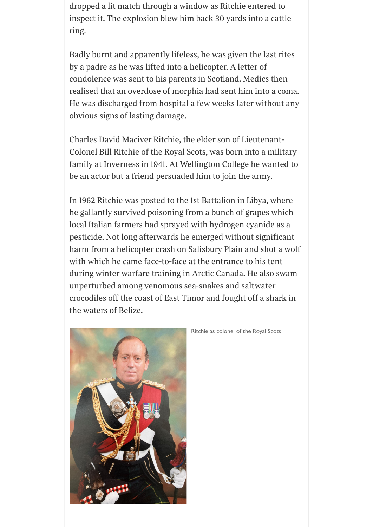*dropped a lit match through a window as Ritchie entered to inspect it. The explosion blew him back 30 yards into a cattle ring.*

*Badly burnt and apparently lifeless, he was given the last rites by a padre as he was lifted into a helicopter. A letter of condolence was sent to his parents in Scotland. Medics then realised that an overdose of morphia had sent him into a coma. He was discharged from hospital a few weeks later without any obvious signs of lasting damage.*

*Charles David Maciver Ritchie, the elder son of Lieutenant-Colonel Bill Ritchie of the Royal Scots, was born into a military family at Inverness in 1941. At Wellington College he wanted to be an actor but a friend persuaded him to join the army.*

*In 1962 Ritchie was posted to the 1st Battalion in Libya, where he gallantly survived poisoning from a bunch of grapes which local Italian farmers had sprayed with hydrogen cyanide as a pesticide. Not long afterwards he emerged without significant harm from a helicopter crash on Salisbury Plain and shot a wolf with which he came face-to-face at the entrance to his tent during winter warfare training in Arctic Canada. He also swam unperturbed among venomous sea-snakes and saltwater crocodiles o the coast of East Timor and fought o a shark in the waters of Belize.*



Ritchie as colonel of the Royal Scots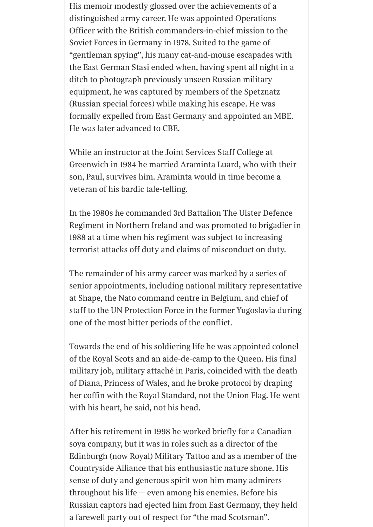*His memoir modestly glossed over the achievements of a distinguished army career. He was appointed Operations Ocer with the British commanders-in-chief mission to the Soviet Forces in Germany in 1978. Suited to the game of "gentleman spying", his many cat-and-mouse escapades with the East German Stasi ended when, having spent all night in a ditch to photograph previously unseen Russian military equipment, he was captured by members of the Spetznatz (Russian special forces) while making his escape. He was formally expelled from East Germany and appointed an MBE. He was later advanced to CBE.*

*While an instructor at the Joint Services Sta College at Greenwich in 1984 he married Araminta Luard, who with their son, Paul, survives him. Araminta would in time become a veteran of his bardic tale-telling.*

*In the 1980s he commanded 3rd Battalion The Ulster Defence Regiment in Northern Ireland and was promoted to brigadier in 1988 at a time when his regiment was subject to increasing terrorist attacks o duty and claims of misconduct on duty.*

*The remainder of his army career was marked by a series of senior appointments, including national military representative at Shape, the Nato command centre in Belgium, and chief of sta to the UN Protection Force in the former Yugoslavia during one of the most bitter periods of the conflict.*

*Towards the end of his soldiering life he was appointed colonel of the Royal Scots and an aide-de-camp to the Queen. His final military job, military attaché in Paris, coincided with the death of Diana, Princess of Wales, and he broke protocol by draping her con with the Royal Standard, not the Union Flag. He went with his heart, he said, not his head.*

*After his retirement in 1998 he worked briefly for a Canadian soya company, but it was in roles such as a director of the Edinburgh (now Royal) Military Tattoo and as a member of the Countryside Alliance that his enthusiastic nature shone. His sense of duty and generous spirit won him many admirers throughout his life — even among his enemies. Before his Russian captors had ejected him from East Germany, they held a farewell party out of respect for "the mad Scotsman".*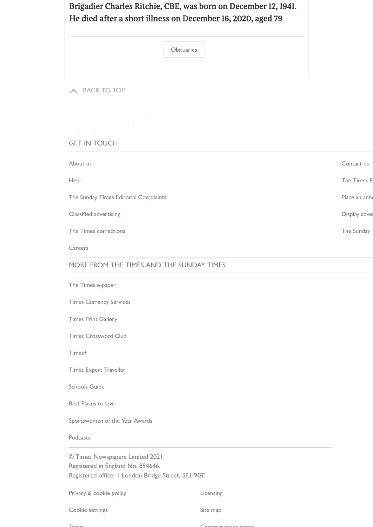## *Brigadier Charles Ritchie, CBE, was born on December 12, 1941. He died after a short illness on December 16, 2020, aged 79*

**[Obituaries](https://www.thetimes.co.uk/topic/obituary)** 

**A** [BACK](#page-0-0) TO TOP

# 

GET IN TOUCH

| About us                              | Contact us    |
|---------------------------------------|---------------|
| Help                                  | The Times E   |
| The Sunday Times Editorial Complaints | Place an anno |
| Classified advertising                | Display adver |
| The Times corrections                 | The Sunday    |
| Careers                               |               |

#### MORE FROM THE TIMES AND THE SUNDAY TIMES

The Times [e-paper](http://epaper.thetimes.co.uk/the-times)

Times [Currency Services](https://www.timescurrencyservices.co.uk/)

Times Print [Gallery](https://times.newsprints.co.uk/?utm_source=the_times)

Times [Crossword](https://www.thetimes.co.uk/puzzleclub/crosswordclub/) Club

[Times+](https://www.mytimesplus.co.uk/)

Times Expert [Traveller](https://www.thetimes.co.uk/expert-traveller)

[Schools](http://www.thesundaytimes.co.uk/parentpower) Guide

Best [Places](https://www.thetimes.co.uk/article/best-places-to-live-sunday-times-3qkwjnvrm) to Live

[Sportswomen of](https://www.sportswomenoftheyear.co.uk/) the Year Awards

[Podcasts](https://www.thetimes.co.uk/podcasts)

© Times Newspapers Limited 2021. Registered in England No. 894646. Registered office: 1 London Bridge Street, SE1 9GF.

Privacy [& cookie](https://www.newsprivacy.co.uk/single/) policy and the control of the [Licensing](http://www.newslicensing.co.uk/)

Cookie settings Site [map](https://www.thetimes.co.uk/html-sitemap/)

[Topics](https://www.thetimes.co.uk/html-topic-sitemap/) [Commissioning](https://www.thetimes.co.uk/static/commissioning-terms/) terms